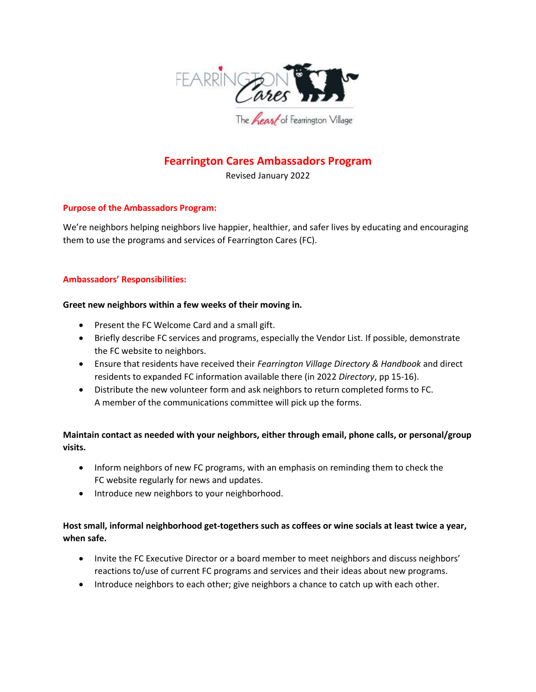

# **Fearrington Cares Ambassadors Program**

Revised January 2022

### **Purpose of the Ambassadors Program:**

We're neighbors helping neighbors live happier, healthier, and safer lives by educating and encouraging them to use the programs and services of Fearrington Cares (FC).

### **Ambassadors' Responsibilities:**

#### **Greet new neighbors within a few weeks of their moving in.**

- Present the FC Welcome Card and a small gift.
- Briefly describe FC services and programs, especially the Vendor List. If possible, demonstrate the FC website to neighbors.
- Ensure that residents have received their *Fearrington Village Directory & Handbook* and direct residents to expanded FC information available there (in 2022 *Directory*, pp 15-16).
- Distribute the new volunteer form and ask neighbors to return completed forms to FC. A member of the communications committee will pick up the forms.

# **Maintain contact as needed with your neighbors, either through email, phone calls, or personal/group visits.**

- Inform neighbors of new FC programs, with an emphasis on reminding them to check the FC website regularly for news and updates.
- Introduce new neighbors to your neighborhood.

# **Host small, informal neighborhood get-togethers such as coffees or wine socials at least twice a year, when safe.**

- Invite the FC Executive Director or a board member to meet neighbors and discuss neighbors' reactions to/use of current FC programs and services and their ideas about new programs.
- Introduce neighbors to each other; give neighbors a chance to catch up with each other.